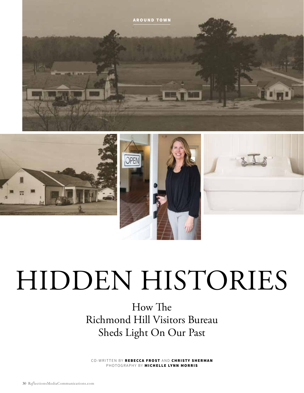

## HIDDEN HISTORIES

How The Richmond Hill Visitors Bureau Sheds Light On Our Past

CO-WRITTEN BY REBECCA FROST AND CHRISTY SHERMAN PHOTOGRAPHY BY MICHELLE LYNN MORRIS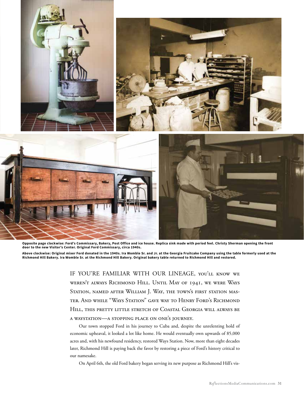

**Opposite page clockwise: Ford's Commissary, Bakery, Post Office and ice house. Replica sink made with period feel. Christy Sherman opening the front door to the new Visitor's Center. Original Ford Commissary, circa 1940s.** 

**Above clockwise: Original mixer Ford donated in the 1940s. Ira Womble Sr. and Jr. at the Georgia Fruitcake Company using the table formerly used at the Richmond Hill Bakery. Ira Womble Sr. at the Richmond Hill Bakery. Original bakery table returned to Richmond Hill and restored.**

> IF YOU'RE FAMILIAR WITH OUR LINEAGE, you'll know we weren't always Richmond Hill. Until May of 1941, we were Ways STATION, NAMED AFTER WILLIAM J. WAY, THE TOWN'S FIRST STATION MASter. And while "Ways Station" gave way to Henry Ford's Richmond Hill, this pretty little stretch of Coastal Georgia will always be a waystation—a stopping place on one's journey.

> Our town stopped Ford in his journey to Cuba and, despite the unrelenting hold of economic upheaval, it looked a lot like home. He would eventually own upwards of 85,000 acres and, with his newfound residency, restored Ways Station. Now, more than eight decades later, Richmond Hill is paying back the favor by restoring a piece of Ford's history critical to our namesake.

On April 6th, the old Ford bakery began serving its new purpose as Richmond Hill's vis-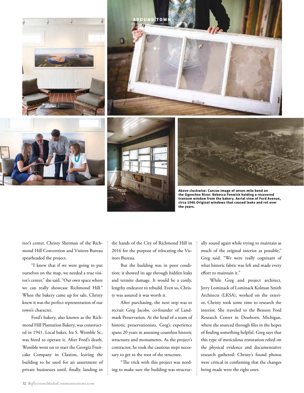







**Above clockwise: Canvas image of seven-mile bend on the Ogeechee River. Rebecca Fenwick holding a recovered transom window from the bakery. Aerial view of Ford Avenue, circa 1940.Original windows that caused leaks and rot over the years.** 

itor's center. Christy Sherman of the Richmond Hill Convention and Visitors Bureau spearheaded the project.

"I knew that if we were going to put ourselves on the map, we needed a true visitor's center," she said. "Our own space where we can really showcase Richmond Hill." When the bakery came up for sale, Christy knew it was the perfect representation of our town's character.

Ford's bakery, also known as the Richmond Hill Plantation Bakery, was constructed in 1941. Local baker, Ira S. Womble Sr., was hired to operate it. After Ford's death, Womble went on to start the Georgia Fruitcake Company in Claxton, leaving the building to be used for an assortment of private businesses until, finally, landing in

the hands of the City of Richmond Hill in 2016 for the purpose of relocating the Visitors Bureau.

But the building was in poor condition; it showed its age through hidden leaks and termite damage. It would be a costly, lengthy endeavor to rebuild. Even so, Christy was assured it was worth it.

After purchasing, the next step was to recruit Greg Jacobs, co-founder of Landmark Preservation. At the head of a team of historic preservationists, Greg's experience spans 20 years in assessing countless historic structures and monuments. As the project's contractor, he took the cautious steps necessary to get to the root of the structure.

"The trick with this project was needing to make sure the building was structurally sound again while trying to maintain as much of the original interior as possible," Greg said. "We were really cognizant of what historic fabric was left and made every effort to maintain it."

While Greg and project architect, Jerry Lominack of Lominack Kolman Smith Architects (LKSA), worked on the exterior, Christy took some time to research the interior. She traveled to the Benson Ford Research Center in Dearborn, Michigan, where she sourced through files in the hopes of finding something helpful. Greg says that this type of meticulous restoration relied on the physical evidence and documentative research gathered; Christy's found photos were critical in confirming that the changes being made were the right ones.